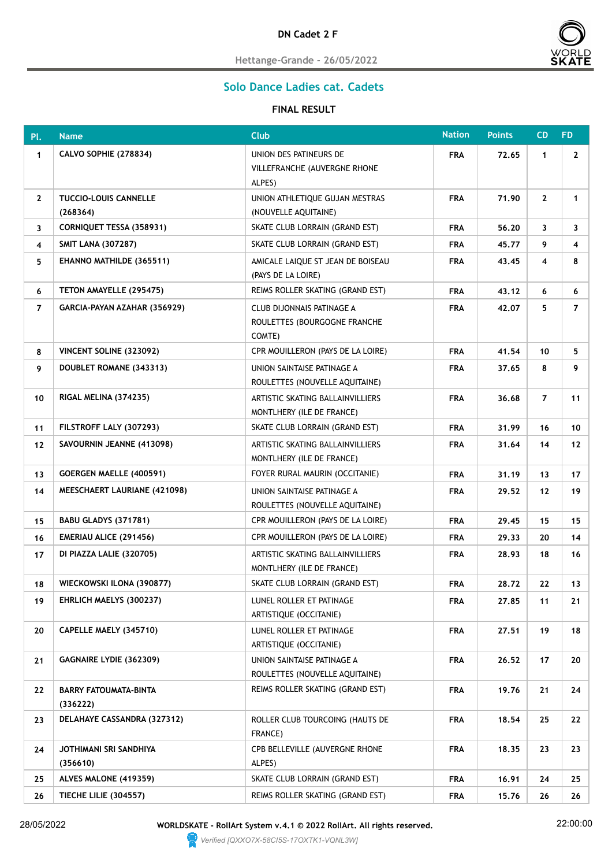

**Hettange-Grande - 26/05/2022**

## **Solo Dance Ladies cat. Cadets**

## **FINAL RESULT**

| Pl.            | <b>Name</b>                              | <b>Club</b>                                                         | <b>Nation</b> | <b>Points</b> | <b>CD</b>      | FD.             |
|----------------|------------------------------------------|---------------------------------------------------------------------|---------------|---------------|----------------|-----------------|
| $\mathbf{1}$   | <b>CALVO SOPHIE (278834)</b>             | UNION DES PATINEURS DE<br>VILLEFRANCHE (AUVERGNE RHONE<br>ALPES)    | <b>FRA</b>    | 72.65         | $\mathbf{1}$   | $\mathbf{2}$    |
| $\mathbf{2}$   | <b>TUCCIO-LOUIS CANNELLE</b><br>(268364) | UNION ATHLETIQUE GUJAN MESTRAS<br>(NOUVELLE AQUITAINE)              | <b>FRA</b>    | 71.90         | $\mathbf{2}$   | 1               |
| 3              | <b>CORNIQUET TESSA (358931)</b>          | SKATE CLUB LORRAIN (GRAND EST)                                      | <b>FRA</b>    | 56.20         | 3              | 3               |
| 4              | <b>SMIT LANA (307287)</b>                | SKATE CLUB LORRAIN (GRAND EST)                                      | <b>FRA</b>    | 45.77         | 9              | 4               |
| 5              | EHANNO MATHILDE (365511)                 | AMICALE LAIQUE ST JEAN DE BOISEAU<br>(PAYS DE LA LOIRE)             | <b>FRA</b>    | 43.45         | 4              | 8               |
| 6              | TETON AMAYELLE (295475)                  | REIMS ROLLER SKATING (GRAND EST)                                    | <b>FRA</b>    | 43.12         | 6              | 6               |
| $\overline{7}$ | GARCIA-PAYAN AZAHAR (356929)             | CLUB DIJONNAIS PATINAGE A<br>ROULETTES (BOURGOGNE FRANCHE<br>COMTE) | <b>FRA</b>    | 42.07         | 5.             | $\overline{7}$  |
| 8              | VINCENT SOLINE (323092)                  | CPR MOUILLERON (PAYS DE LA LOIRE)                                   | <b>FRA</b>    | 41.54         | 10             | 5.              |
| 9              | DOUBLET ROMANE (343313)                  | UNION SAINTAISE PATINAGE A<br>ROULETTES (NOUVELLE AQUITAINE)        | <b>FRA</b>    | 37.65         | 8              | 9               |
| 10             | RIGAL MELINA (374235)                    | ARTISTIC SKATING BALLAINVILLIERS<br>MONTLHERY (ILE DE FRANCE)       | <b>FRA</b>    | 36.68         | $\overline{7}$ | 11              |
| 11             | FILSTROFF LALY (307293)                  | SKATE CLUB LORRAIN (GRAND EST)                                      | <b>FRA</b>    | 31.99         | 16             | 10              |
| 12             | SAVOURNIN JEANNE (413098)                | ARTISTIC SKATING BALLAINVILLIERS<br>MONTLHERY (ILE DE FRANCE)       | <b>FRA</b>    | 31.64         | 14             | 12 <sub>2</sub> |
| 13             | <b>GOERGEN MAELLE (400591)</b>           | FOYER RURAL MAURIN (OCCITANIE)                                      | <b>FRA</b>    | 31.19         | 13             | 17              |
| 14             | MEESCHAERT LAURIANE (421098)             | UNION SAINTAISE PATINAGE A<br>ROULETTES (NOUVELLE AQUITAINE)        | <b>FRA</b>    | 29.52         | 12             | 19              |
| 15             | BABU GLADYS (371781)                     | CPR MOUILLERON (PAYS DE LA LOIRE)                                   | <b>FRA</b>    | 29.45         | 15             | 15              |
| 16             | <b>EMERIAU ALICE (291456)</b>            | CPR MOUILLERON (PAYS DE LA LOIRE)                                   | <b>FRA</b>    | 29.33         | 20             | 14              |
| 17             | DI PIAZZA LALIE (320705)                 | ARTISTIC SKATING BALLAINVILLIERS<br>MONTLHERY (ILE DE FRANCE)       | <b>FRA</b>    | 28.93         | 18             | 16              |
| 18             | WIECKOWSKI ILONA (390877)                | SKATE CLUB LORRAIN (GRAND EST)                                      | <b>FRA</b>    | 28.72         | 22             | 13              |
| 19             | EHRLICH MAELYS (300237)                  | LUNEL ROLLER ET PATINAGE<br>ARTISTIQUE (OCCITANIE)                  | <b>FRA</b>    | 27.85         | 11             | 21              |
| 20             | CAPELLE MAELY (345710)                   | LUNEL ROLLER ET PATINAGE<br>ARTISTIQUE (OCCITANIE)                  | <b>FRA</b>    | 27.51         | 19             | 18              |
| 21             | GAGNAIRE LYDIE (362309)                  | UNION SAINTAISE PATINAGE A<br>ROULETTES (NOUVELLE AQUITAINE)        | <b>FRA</b>    | 26.52         | 17             | 20              |
| 22             | <b>BARRY FATOUMATA-BINTA</b><br>(336222) | REIMS ROLLER SKATING (GRAND EST)                                    | <b>FRA</b>    | 19.76         | 21             | 24              |
| 23             | DELAHAYE CASSANDRA (327312)              | ROLLER CLUB TOURCOING (HAUTS DE<br>FRANCE)                          | <b>FRA</b>    | 18.54         | 25             | 22              |
| 24             | JOTHIMANI SRI SANDHIYA<br>(356610)       | CPB BELLEVILLE (AUVERGNE RHONE<br>ALPES)                            | <b>FRA</b>    | 18.35         | 23             | 23              |
| 25             | ALVES MALONE (419359)                    | SKATE CLUB LORRAIN (GRAND EST)                                      | <b>FRA</b>    | 16.91         | 24             | 25              |
| 26             | <b>TIECHE LILIE (304557)</b>             | REIMS ROLLER SKATING (GRAND EST)                                    | <b>FRA</b>    | 15.76         | 26             | 26              |